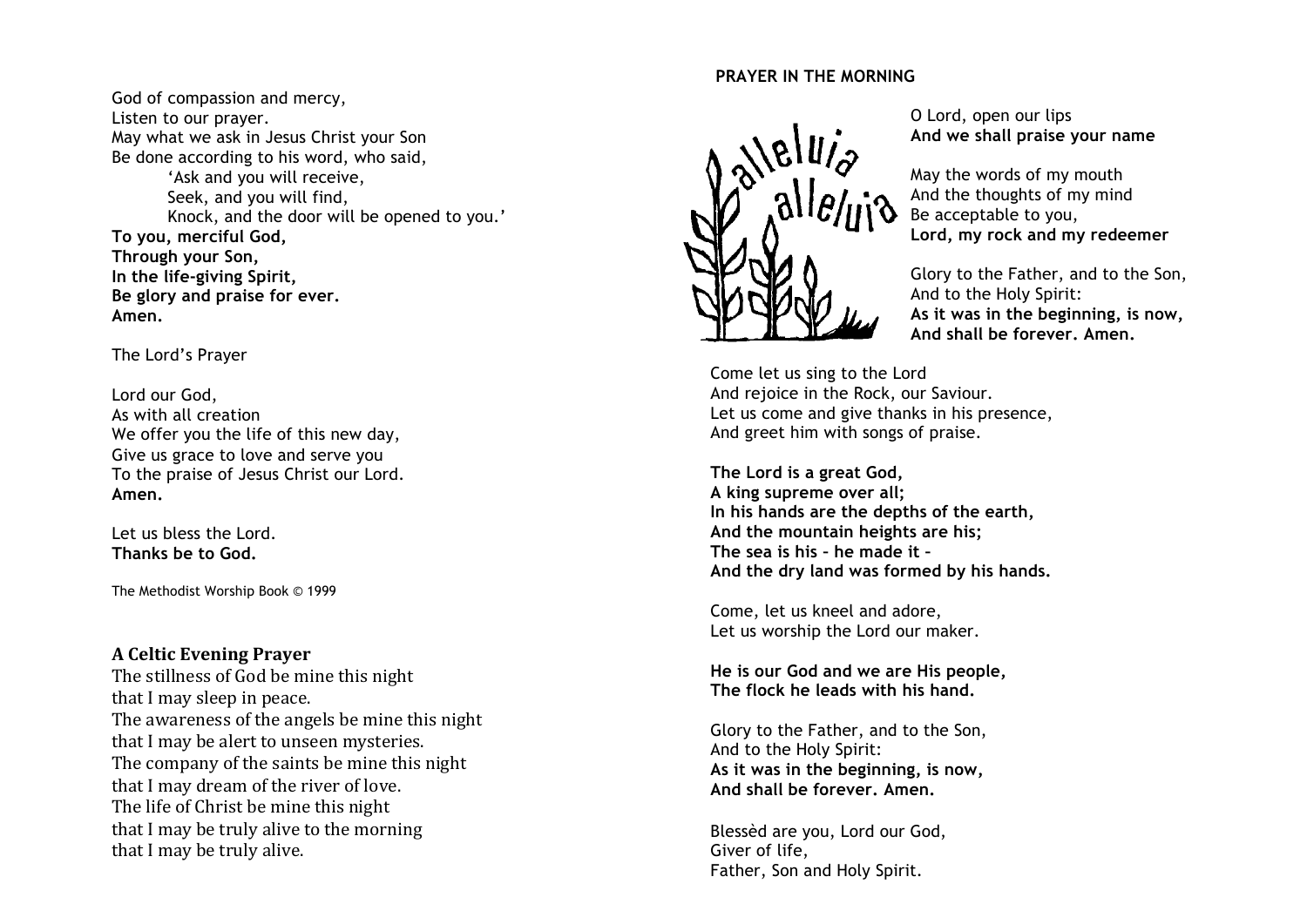### God of compassion and mercy, Listen to our prayer. May what we ask in Jesus Christ your Son Be done according to his word, who said, 'Ask and you will receive, Seek, and you will find, Knock, and the door will be opened to you.' **To you, merciful God, Through your Son, In the life-giving Spirit, Be glory and praise for ever. Amen.**

The Lord's Prayer

Lord our God, As with all creation We offer you the life of this new day, Give us grace to love and serve you To the praise of Jesus Christ our Lord. **Amen.**

Let us bless the Lord. **Thanks be to God.**

The Methodist Worship Book © 1999

# **A Celtic Evening Prayer**

The stillness of God be mine this night that I may sleep in peace. The awareness of the angels be mine this night that I may be alert to unseen mysteries. The company of the saints be mine this night that I may dream of the river of love. The life of Christ be mine this night that I may be truly alive to the morning that I may be truly alive.

## **PRAYER IN THE MORNING**



O Lord, open our lips **And we shall praise your name**

May the words of my mouth And the thoughts of my mind Be acceptable to you, **Lord, my rock and my redeemer**

Glory to the Father, and to the Son, And to the Holy Spirit: **As it was in the beginning, is now, And shall be forever. Amen.**

Come let us sing to the Lord And rejoice in the Rock, our Saviour. Let us come and give thanks in his presence, And greet him with songs of praise.

**The Lord is a great God, A king supreme over all; In his hands are the depths of the earth, And the mountain heights are his; The sea is his – he made it – And the dry land was formed by his hands.**

Come, let us kneel and adore, Let us worship the Lord our maker.

**He is our God and we are His people, The flock he leads with his hand.**

Glory to the Father, and to the Son, And to the Holy Spirit: **As it was in the beginning, is now, And shall be forever. Amen.**

Blessèd are you, Lord our God, Giver of life, Father, Son and Holy Spirit.